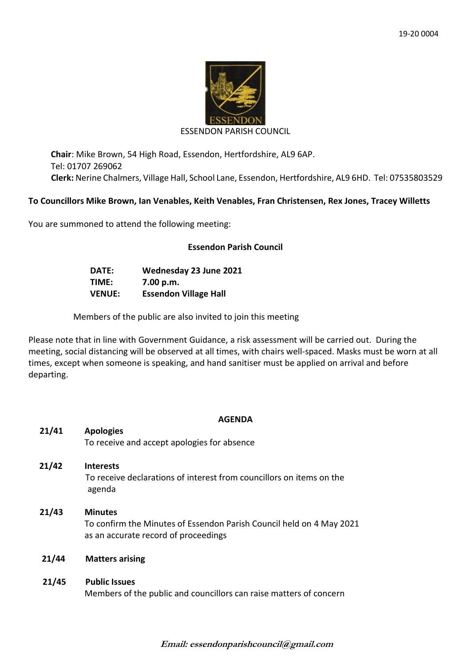

#### ESSENDON PARISH COUNCIL

**Chair**: Mike Brown, 54 High Road, Essendon, Hertfordshire, AL9 6AP. Tel: 01707 269062 **Clerk:** Nerine Chalmers, Village Hall, School Lane, Essendon, Hertfordshire, AL9 6HD. Tel: 07535803529

### **To Councillors Mike Brown, Ian Venables, Keith Venables, Fran Christensen, Rex Jones, Tracey Willetts**

You are summoned to attend the following meeting:

## **Essendon Parish Council**

| <b>DATE:</b>  | Wednesday 23 June 2021       |
|---------------|------------------------------|
| TIME:         | 7.00 p.m.                    |
| <b>VENUE:</b> | <b>Essendon Village Hall</b> |

Members of the public are also invited to join this meeting

Please note that in line with Government Guidance, a risk assessment will be carried out. During the meeting, social distancing will be observed at all times, with chairs well-spaced. Masks must be worn at all times, except when someone is speaking, and hand sanitiser must be applied on arrival and before departing.

### **AGENDA**

| <b>Apologies</b>                                                                                                               |
|--------------------------------------------------------------------------------------------------------------------------------|
| To receive and accept apologies for absence                                                                                    |
| <b>Interests</b><br>To receive declarations of interest from councillors on items on the<br>agenda                             |
| <b>Minutes</b><br>To confirm the Minutes of Essendon Parish Council held on 4 May 2021<br>as an accurate record of proceedings |
| <b>Matters arising</b>                                                                                                         |
| <b>Public Issues</b><br>Members of the public and councillors can raise matters of concern                                     |
|                                                                                                                                |

**Email: essendonparishcouncil@gmail.com**